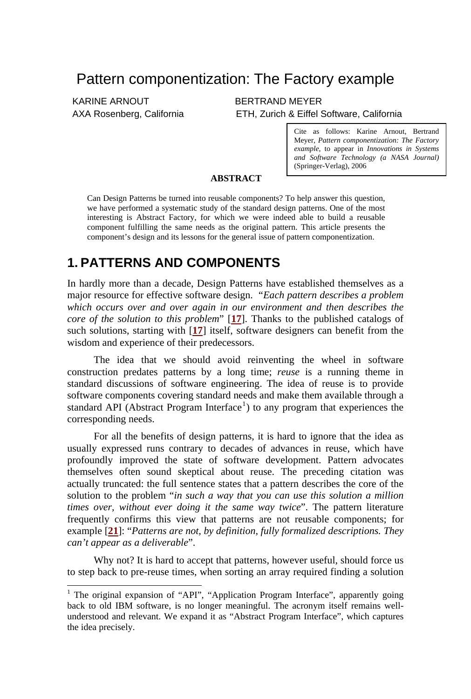# Pattern componentization: The Factory example

KARINE ARNOUT BERTRAND MEYER

 $\overline{a}$ 

AXA Rosenberg, California ETH, Zurich & Eiffel Software, California

Cite as follows: Karine Arnout, Bertrand Meyer, *Pattern componentization: The Factory example*, to appear in *Innovations in Systems and Software Technology (a NASA Journal)*  (Springer-Verlag), 2006

#### **ABSTRACT**

Can Design Patterns be turned into reusable components? To help answer this question, we have performed a systematic study of the standard design patterns. One of the most interesting is Abstract Factory, for which we were indeed able to build a reusable component fulfilling the same needs as the original pattern. This article presents the component's design and its lessons for the general issue of pattern componentization.

## **1. PATTERNS AND COMPONENTS**

In hardly more than a decade, Design Patterns have established themselves as a major resource for effective software design. "*Each pattern describes a problem which occurs over and over again in our environment and then describes the core of the solution to this problem*" [**[17](#page-25-0)**]. Thanks to the published catalogs of such solutions, starting with [**[17](#page-25-0)**] itself, software designers can benefit from the wisdom and experience of their predecessors.

The idea that we should avoid reinventing the wheel in software construction predates patterns by a long time; *reuse* is a running theme in standard discussions of software engineering. The idea of reuse is to provide software components covering standard needs and make them available through a standard API (Abstract Program Interface<sup>[1](#page-0-0)</sup>) to any program that experiences the corresponding needs.

For all the benefits of design patterns, it is hard to ignore that the idea as usually expressed runs contrary to decades of advances in reuse, which have profoundly improved the state of software development. Pattern advocates themselves often sound skeptical about reuse. The preceding citation was actually truncated: the full sentence states that a pattern describes the core of the solution to the problem "*in such a way that you can use this solution a million times over, without ever doing it the same way twice*". The pattern literature frequently confirms this view that patterns are not reusable components; for example [**[21](#page-26-0)**]: "*Patterns are not, by definition, fully formalized descriptions. They can't appear as a deliverable*".

Why not? It is hard to accept that patterns, however useful, should force us to step back to pre-reuse times, when sorting an array required finding a solution

<span id="page-0-0"></span><sup>&</sup>lt;sup>1</sup> The original expansion of "API", "Application Program Interface", apparently going back to old IBM software, is no longer meaningful. The acronym itself remains wellunderstood and relevant. We expand it as "Abstract Program Interface", which captures the idea precisely.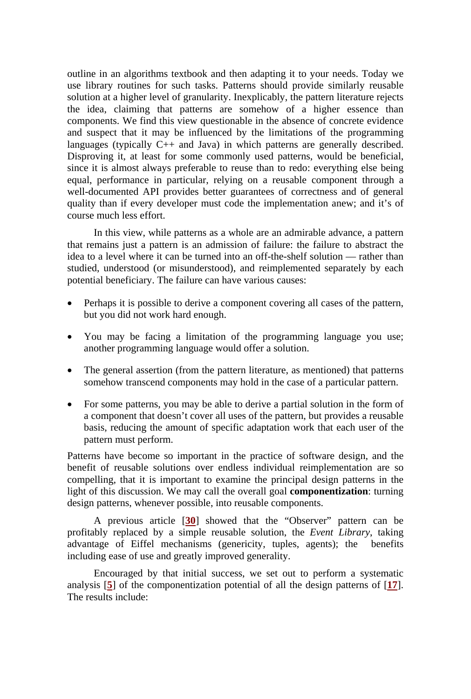outline in an algorithms textbook and then adapting it to your needs. Today we use library routines for such tasks. Patterns should provide similarly reusable solution at a higher level of granularity. Inexplicably, the pattern literature rejects the idea, claiming that patterns are somehow of a higher essence than components. We find this view questionable in the absence of concrete evidence and suspect that it may be influenced by the limitations of the programming languages (typically C++ and Java) in which patterns are generally described. Disproving it, at least for some commonly used patterns, would be beneficial, since it is almost always preferable to reuse than to redo: everything else being equal, performance in particular, relying on a reusable component through a well-documented API provides better guarantees of correctness and of general quality than if every developer must code the implementation anew; and it's of course much less effort.

In this view, while patterns as a whole are an admirable advance, a pattern that remains just a pattern is an admission of failure: the failure to abstract the idea to a level where it can be turned into an off-the-shelf solution — rather than studied, understood (or misunderstood), and reimplemented separately by each potential beneficiary. The failure can have various causes:

- Perhaps it is possible to derive a component covering all cases of the pattern, but you did not work hard enough.
- You may be facing a limitation of the programming language you use; another programming language would offer a solution.
- The general assertion (from the pattern literature, as mentioned) that patterns somehow transcend components may hold in the case of a particular pattern.
- For some patterns, you may be able to derive a partial solution in the form of a component that doesn't cover all uses of the pattern, but provides a reusable basis, reducing the amount of specific adaptation work that each user of the pattern must perform.

Patterns have become so important in the practice of software design, and the benefit of reusable solutions over endless individual reimplementation are so compelling, that it is important to examine the principal design patterns in the light of this discussion. We may call the overall goal **componentization**: turning design patterns, whenever possible, into reusable components.

A previous article [**[30](#page-27-0)**] showed that the "Observer" pattern can be profitably replaced by a simple reusable solution, the *Event Library*, taking advantage of Eiffel mechanisms (genericity, tuples, agents); the benefits including ease of use and greatly improved generality.

Encouraged by that initial success, we set out to perform a systematic analysis [**[5](#page-25-1)**] of the componentization potential of all the design patterns of [**[17](#page-25-0)**]. The results include: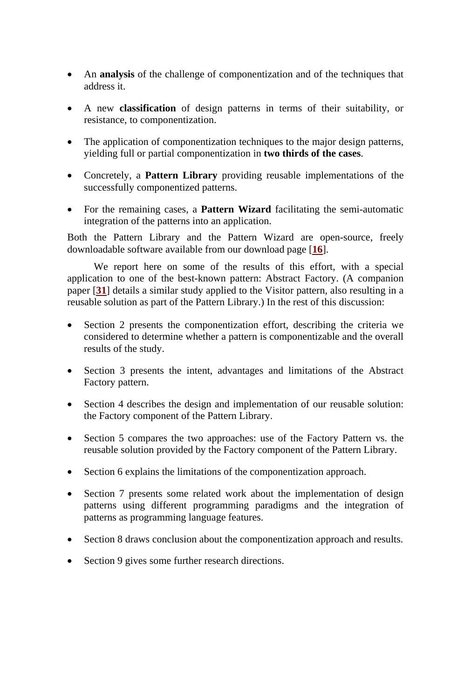- An **analysis** of the challenge of componentization and of the techniques that address it.
- A new **classification** of design patterns in terms of their suitability, or resistance, to componentization.
- The application of componentization techniques to the major design patterns, yielding full or partial componentization in **two thirds of the cases**.
- Concretely, a **Pattern Library** providing reusable implementations of the successfully componentized patterns.
- For the remaining cases, a **Pattern Wizard** facilitating the semi-automatic integration of the patterns into an application.

Both the Pattern Library and the Pattern Wizard are open-source, freely downloadable software available from our download page [**[16](#page-25-2)**].

We report here on some of the results of this effort, with a special application to one of the best-known pattern: Abstract Factory. (A companion paper [**[31](#page-27-1)**] details a similar study applied to the Visitor pattern, also resulting in a reusable solution as part of the Pattern Library.) In the rest of this discussion:

- Section 2 presents the componentization effort, describing the criteria we considered to determine whether a pattern is componentizable and the overall results of the study.
- Section 3 presents the intent, advantages and limitations of the Abstract Factory pattern.
- Section 4 describes the design and implementation of our reusable solution: the Factory component of the Pattern Library.
- Section 5 compares the two approaches: use of the Factory Pattern vs. the reusable solution provided by the Factory component of the Pattern Library.
- Section 6 explains the limitations of the componentization approach.
- Section 7 presents some related work about the implementation of design patterns using different programming paradigms and the integration of patterns as programming language features.
- Section 8 draws conclusion about the componentization approach and results.
- Section 9 gives some further research directions.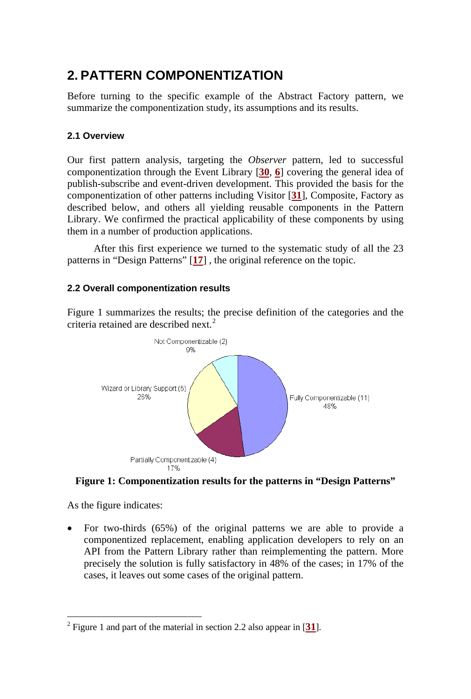# **2. PATTERN COMPONENTIZATION**

Before turning to the specific example of the Abstract Factory pattern, we summarize the componentization study, its assumptions and its results.

### **2.1 Overview**

Our first pattern analysis, targeting the *Observer* pattern, led to successful componentization through the Event Library [**[30](#page-27-0)**, **[6](#page-25-3)**] covering the general idea of publish-subscribe and event-driven development. This provided the basis for the componentization of other patterns including Visitor [**[31](#page-27-1)**], Composite, Factory as described below, and others all yielding reusable components in the Pattern Library. We confirmed the practical applicability of these components by using them in a number of production applications.

After this first experience we turned to the systematic study of all the 23 patterns in "Design Patterns" [**[17](#page-25-0)**] , the original reference on the topic.

### **2.2 Overall componentization results**

Figure 1 summarizes the results; the precise definition of the categories and the criteria retained are described next.<sup>[2](#page-3-0)</sup>



**Figure 1: Componentization results for the patterns in "Design Patterns"** 

As the figure indicates:

 $\overline{a}$ 

• For two-thirds (65%) of the original patterns we are able to provide a componentized replacement, enabling application developers to rely on an API from the Pattern Library rather than reimplementing the pattern. More precisely the solution is fully satisfactory in 48% of the cases; in 17% of the cases, it leaves out some cases of the original pattern.

<span id="page-3-0"></span><sup>2</sup> Figure 1 and part of the material in section 2.2 also appear in [**31**].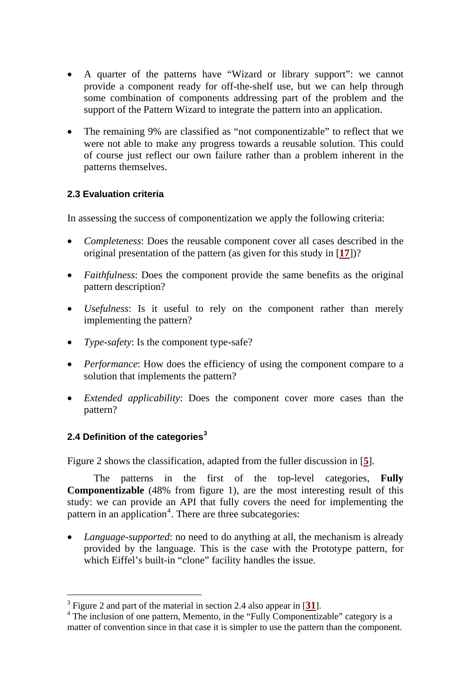- A quarter of the patterns have "Wizard or library support": we cannot provide a component ready for off-the-shelf use, but we can help through some combination of components addressing part of the problem and the support of the Pattern Wizard to integrate the pattern into an application.
- The remaining 9% are classified as "not componentizable" to reflect that we were not able to make any progress towards a reusable solution. This could of course just reflect our own failure rather than a problem inherent in the patterns themselves.

### **2.3 Evaluation criteria**

In assessing the success of componentization we apply the following criteria:

- *Completeness*: Does the reusable component cover all cases described in the original presentation of the pattern (as given for this study in [**[17](#page-25-0)**])?
- *Faithfulness:* Does the component provide the same benefits as the original pattern description?
- *Usefulness*: Is it useful to rely on the component rather than merely implementing the pattern?
- *Type-safety*: Is the component type-safe?
- *Performance*: How does the efficiency of using the component compare to a solution that implements the pattern?
- *Extended applicability*: Does the component cover more cases than the pattern?

### **2.4 Definition of the categories[3](#page-4-0)**

 $\overline{a}$ 

Figure 2 shows the classification, adapted from the fuller discussion in [**[5](#page-25-1)**].

The patterns in the first of the top-level categories, **Fully Componentizable** (48% from figure 1), are the most interesting result of this study: we can provide an API that fully covers the need for implementing the pattern in an application<sup>[4](#page-4-1)</sup>. There are three subcategories:

• *Language-supported*: no need to do anything at all, the mechanism is already provided by the language. This is the case with the Prototype pattern, for which Eiffel's built-in "clone" facility handles the issue.

<span id="page-4-0"></span><sup>&</sup>lt;sup>3</sup> Figure 2 and part of the material in section 2.4 also appear in  $[31]$ .

<span id="page-4-1"></span> $4$  The inclusion of one pattern, Memento, in the "Fully Componentizable" category is a matter of convention since in that case it is simpler to use the pattern than the component.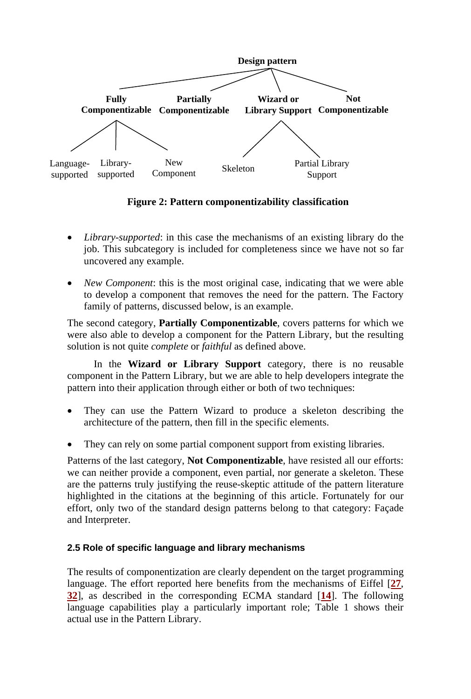

**Figure 2: Pattern componentizability classification**

- *Library-supported*: in this case the mechanisms of an existing library do the job. This subcategory is included for completeness since we have not so far uncovered any example.
- *New Component*: this is the most original case, indicating that we were able to develop a component that removes the need for the pattern. The Factory family of patterns, discussed below, is an example.

The second category, **Partially Componentizable**, covers patterns for which we were also able to develop a component for the Pattern Library, but the resulting solution is not quite *complete* or *faithful* as defined above.

In the **Wizard or Library Support** category, there is no reusable component in the Pattern Library, but we are able to help developers integrate the pattern into their application through either or both of two techniques:

- They can use the Pattern Wizard to produce a skeleton describing the architecture of the pattern, then fill in the specific elements.
- They can rely on some partial component support from existing libraries.

Patterns of the last category, **Not Componentizable**, have resisted all our efforts: we can neither provide a component, even partial, nor generate a skeleton. These are the patterns truly justifying the reuse-skeptic attitude of the pattern literature highlighted in the citations at the beginning of this article. Fortunately for our effort, only two of the standard design patterns belong to that category: Façade and Interpreter.

### **2.5 Role of specific language and library mechanisms**

The results of componentization are clearly dependent on the target programming language. The effort reported here benefits from the mechanisms of Eiffel [**[27](#page-26-1)**, **[32](#page-27-2)**], as described in the corresponding ECMA standard [**[14](#page-25-4)**]. The following language capabilities play a particularly important role; Table 1 shows their actual use in the Pattern Library.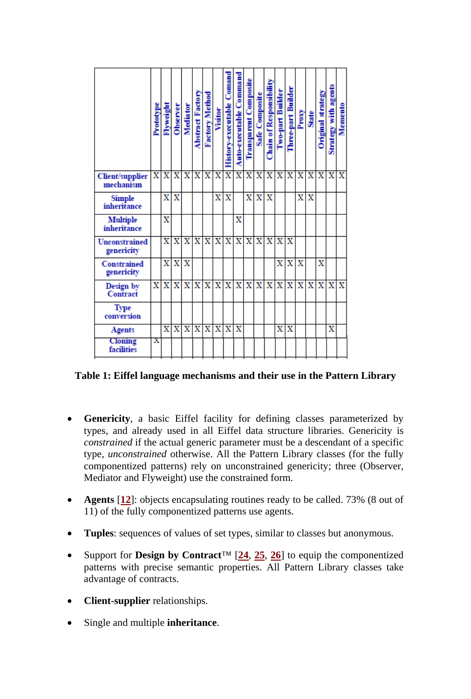|                                    | Prototype               |                          |                         | Flyweight<br>Observer<br>Mediator<br>Abstract Factory |                         |                         | Factory Method<br>Visitor | History-executable Comand | Auto-executable Command | Transparent Composite   | Safe Composite          |                         | Chain of Responsibility<br>Two-part Builder | Three-part Builder    |                         | <b>Proxy</b><br>State   | Original strategy       | Strategy with agents    | Memento               |
|------------------------------------|-------------------------|--------------------------|-------------------------|-------------------------------------------------------|-------------------------|-------------------------|---------------------------|---------------------------|-------------------------|-------------------------|-------------------------|-------------------------|---------------------------------------------|-----------------------|-------------------------|-------------------------|-------------------------|-------------------------|-----------------------|
| Client/supplier<br>mechanism       | $\overline{\text{x}}$   | $_{\overline{\text{x}}}$ | $\overline{\text{x}}$   | $\overline{\text{x}}$                                 | $\overline{\text{x}}$   | $\overline{\text{x}}$   | $\overline{\text{x}}$     | $\overline{\textbf{x}}$   | $\overline{\textbf{x}}$ | $_{\rm x}$              | X                       | $_{\rm X}$              | x                                           | $\overline{\text{x}}$ | $\overline{\text{x}}$   | $_{\rm X}$              | $_{\rm X}$              | $_{\rm x}$              | $_{\rm x}$            |
| Simple<br>inheritance              |                         | X                        | X                       |                                                       |                         |                         | x                         | x                         |                         | X                       | x                       | x                       |                                             |                       | X                       | X                       |                         |                         |                       |
| <b>Multiple</b><br>inheritance     |                         | $\overline{\textbf{x}}$  |                         |                                                       |                         |                         |                           |                           | X                       |                         |                         |                         |                                             |                       |                         |                         |                         |                         |                       |
| <b>Unconstrained</b><br>genericity |                         | $\overline{\textbf{x}}$  | $\overline{\textbf{x}}$ | $\overline{\textbf{x}}$                               | $\overline{\textbf{x}}$ | x                       | $\overline{\text{X}}$     | x                         | $\overline{\textbf{x}}$ | x                       | x                       | x                       | x                                           | x                     |                         |                         |                         |                         |                       |
| Constrained<br>genericity          |                         | x                        | $\overline{\textbf{x}}$ | X                                                     |                         |                         |                           |                           |                         |                         |                         |                         | X                                           | X                     | x                       |                         | x                       |                         |                       |
| Design by<br>Contract              | $\overline{\mathbf{x}}$ | $\overline{\text{x}}$    | $\overline{\text{x}}$   | $\overline{\text{x}}$                                 | $\overline{\textbf{x}}$ | $\overline{\textbf{x}}$ | $\overline{\textbf{x}}$   | $\overline{\text{x}}$     | $\overline{\textbf{x}}$ | $\overline{\mathbf{x}}$ | $\overline{\textbf{x}}$ | $\overline{\textbf{x}}$ | $\overline{\textbf{x}}$                     | X                     | $\overline{\textbf{x}}$ | $\overline{\textbf{x}}$ | $\overline{\mathbf{x}}$ | $\overline{\textbf{x}}$ | $\overline{\text{x}}$ |
| Type<br>conversion                 |                         |                          |                         |                                                       |                         |                         |                           |                           |                         |                         |                         |                         |                                             |                       |                         |                         |                         |                         |                       |
| <b>Agents</b>                      |                         | $\overline{\textbf{x}}$  | $\overline{\text{x}}$   | $\overline{\text{x}}$                                 | $\overline{\text{x}}$   | $\overline{\text{x}}$   | $\overline{\textbf{x}}$   | $\overline{\textbf{x}}$   | $\overline{\textbf{x}}$ |                         |                         |                         | x                                           | $\overline{\text{x}}$ |                         |                         |                         | x                       |                       |
| Cloning<br>facilities              | х                       |                          |                         |                                                       |                         |                         |                           |                           |                         |                         |                         |                         |                                             |                       |                         |                         |                         |                         |                       |
|                                    |                         |                          |                         |                                                       |                         |                         |                           |                           |                         |                         |                         |                         |                                             |                       |                         |                         |                         |                         |                       |

**Table 1: Eiffel language mechanisms and their use in the Pattern Library** 

- **Genericity**, a basic Eiffel facility for defining classes parameterized by types, and already used in all Eiffel data structure libraries. Genericity is *constrained* if the actual generic parameter must be a descendant of a specific type, *unconstrained* otherwise. All the Pattern Library classes (for the fully componentized patterns) rely on unconstrained genericity; three (Observer, Mediator and Flyweight) use the constrained form.
- **Agents** [[12](#page-25-5)]: objects encapsulating routines ready to be called. 73% (8 out of 11) of the fully componentized patterns use agents.
- **Tuples**: sequences of values of set types, similar to classes but anonymous.
- Support for **Design by Contract**™ [**[24](#page-26-2)**, **[25](#page-26-3)**, **[26](#page-26-4)**] to equip the componentized patterns with precise semantic properties. All Pattern Library classes take advantage of contracts.
- **Client-supplier** relationships.
- Single and multiple **inheritance**.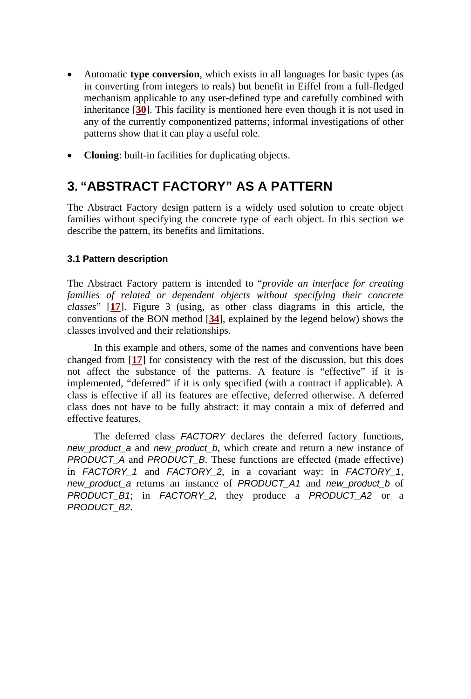- Automatic **type conversion**, which exists in all languages for basic types (as in converting from integers to reals) but benefit in Eiffel from a full-fledged mechanism applicable to any user-defined type and carefully combined with inheritance [**[30](#page-27-0)**]. This facility is mentioned here even though it is not used in any of the currently componentized patterns; informal investigations of other patterns show that it can play a useful role.
- **Cloning**: built-in facilities for duplicating objects.

# **3. "ABSTRACT FACTORY" AS A PATTERN**

The Abstract Factory design pattern is a widely used solution to create object families without specifying the concrete type of each object. In this section we describe the pattern, its benefits and limitations.

### **3.1 Pattern description**

The Abstract Factory pattern is intended to "*provide an interface for creating families of related or dependent objects without specifying their concrete classes*" [**[17](#page-25-0)**]. Figure 3 (using, as other class diagrams in this article, the conventions of the BON method [**[34](#page-27-3)**], explained by the legend below) shows the classes involved and their relationships.

In this example and others, some of the names and conventions have been changed from [**[17](#page-25-0)**] for consistency with the rest of the discussion, but this does not affect the substance of the patterns. A feature is "effective" if it is implemented, "deferred" if it is only specified (with a contract if applicable). A class is effective if all its features are effective, deferred otherwise. A deferred class does not have to be fully abstract: it may contain a mix of deferred and effective features.

The deferred class *FACTORY* declares the deferred factory functions, *new\_product\_a* and *new\_product\_b*, which create and return a new instance of *PRODUCT* A and *PRODUCT* B. These functions are effected (made effective) in *FACTORY\_1* and *FACTORY\_2*, in a covariant way: in *FACTORY\_1*, *new\_product\_a* returns an instance of *PRODUCT\_A1* and *new\_product\_b* of *PRODUCT\_B1*; in *FACTORY\_2*, they produce a *PRODUCT\_A2* or a *PRODUCT\_B2*.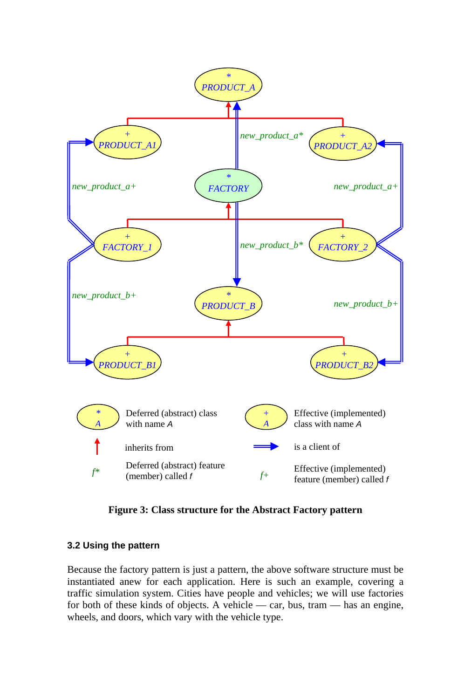

**Figure 3: Class structure for the Abstract Factory pattern**

## **3.2 Using the pattern**

Because the factory pattern is just a pattern, the above software structure must be instantiated anew for each application. Here is such an example, covering a traffic simulation system. Cities have people and vehicles; we will use factories for both of these kinds of objects. A vehicle — car, bus, tram — has an engine, wheels, and doors, which vary with the vehicle type.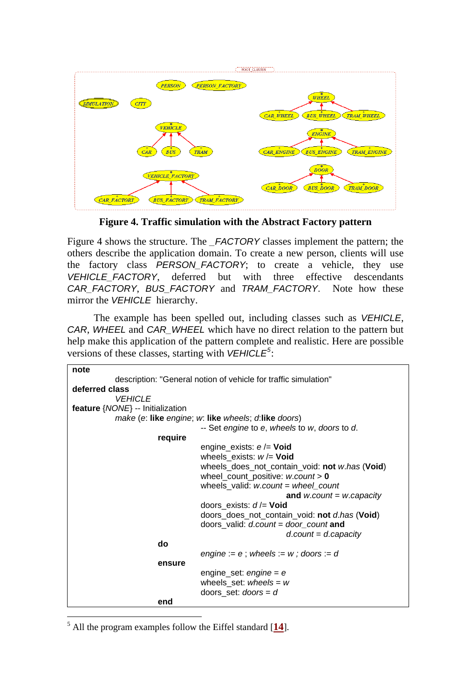

**Figure 4. Traffic simulation with the Abstract Factory pattern** 

Figure 4 shows the structure. The *FACTORY* classes implement the pattern; the others describe the application domain. To create a new person, clients will use the factory class *PERSON\_FACTORY*; to create a vehicle, they use *VEHICLE\_FACTORY*, deferred but with three effective descendants *CAR\_FACTORY*, *BUS\_FACTORY* and *TRAM\_FACTORY*. Note how these mirror the *VEHICLE* hierarchy.

The example has been spelled out, including classes such as *VEHICLE*, *CAR*, *WHEEL* and *CAR\_WHEEL* which have no direct relation to the pattern but help make this application of the pattern complete and realistic. Here are possible versions of these classes, starting with *VEHICLE[5](#page-9-0)* :

| note                                                            |
|-----------------------------------------------------------------|
| description: "General notion of vehicle for traffic simulation" |
| deferred class                                                  |
| <i><b>VFHICI F</b></i>                                          |
| <b>feature</b> { <i>NONE</i> } -- Initialization                |
| make (e: like engine; w: like wheels; d: like doors)            |
| -- Set engine to e, wheels to w, doors to d.                    |
| require                                                         |
| engine_exists: $e$ /= <b>Void</b>                               |
| wheels exists: $w = \text{Void}$                                |
| wheels_does_not_contain_void: not w.has (Void)                  |
| wheel count positive: $w$ count > 0                             |
| wheels valid: $w$ count = wheel count                           |
| and w.count = w.capacity                                        |
| doors exists: $d/=\mathsf{Void}$                                |
| doors does not contain void: not d.has (Void)                   |
| doors valid: d.count = door count and                           |
| $d$ count = $d$ capacity                                        |
| do                                                              |
| engine := $e$ ; wheels := $w$ ; doors := d                      |
| ensure                                                          |
| engine_set: $engine = e$                                        |
| wheels_set: $wheels = w$                                        |
| doors set: $doors = d$                                          |
| end                                                             |
|                                                                 |

<span id="page-9-0"></span>5 All the program examples follow the Eiffel standard [**14**].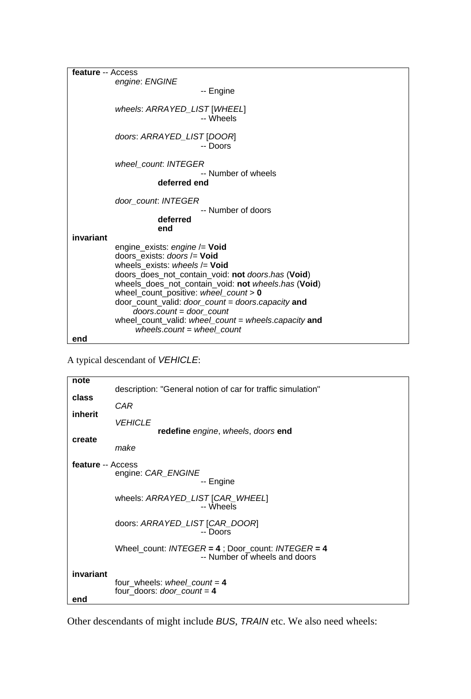| feature -- Access |                                                          |
|-------------------|----------------------------------------------------------|
|                   |                                                          |
|                   | engine: ENGINE                                           |
|                   | -- Engine                                                |
|                   |                                                          |
|                   | wheels: ARRAYED_LIST [WHEEL]                             |
|                   | -- Wheels                                                |
|                   |                                                          |
|                   | doors: ARRAYED_LIST [DOOR]                               |
|                   | -- Doors                                                 |
|                   |                                                          |
|                   | wheel count: INTEGER                                     |
|                   | -- Number of wheels                                      |
|                   | deferred end                                             |
|                   |                                                          |
|                   | door count: INTEGER                                      |
|                   | -- Number of doors                                       |
|                   | deferred                                                 |
|                   | end                                                      |
| invariant         |                                                          |
|                   | engine_exists: engine /= Void                            |
|                   | doors_exists: doors /= Void                              |
|                   |                                                          |
|                   | wheels exists: $wheels$ = Void                           |
|                   | doors does not contain void: not <i>doors.has</i> (Void) |
|                   | wheels_does_not_contain_void: not wheels.has (Void)      |
|                   | wheel_count_positive: wheel_count > 0                    |
|                   | door_count_valid: <i>door_count = doors.capacity</i> and |
|                   | $doors.count = door count$                               |
|                   | wheel count valid: wheel count = wheels. capacity and    |
|                   | wheels.count = wheel count                               |
| end               |                                                          |

A typical descendant of *VEHICLE*:

| note              | description: "General notion of car for traffic simulation"                           |
|-------------------|---------------------------------------------------------------------------------------|
| class             | CAR                                                                                   |
| inherit           | <b>VEHICLE</b>                                                                        |
| create            | redefine engine, wheels, doors end                                                    |
|                   | make                                                                                  |
| feature -- Access | engine: CAR ENGINE<br>-- Engine                                                       |
|                   | wheels: ARRAYED_LIST [CAR_WHEEL]<br>-- Wheels                                         |
|                   | doors: ARRAYED_LIST [CAR_DOOR]<br>-- Doors                                            |
|                   | Wheel_count: $INTEGR = 4$ ; Door_count: $INTEGR = 4$<br>-- Number of wheels and doors |
| invariant<br>end  | four wheels: wheel count = $4$<br>four doors: <i>door</i> count = $4$                 |

Other descendants of might include *BUS*, *TRAIN* etc. We also need wheels: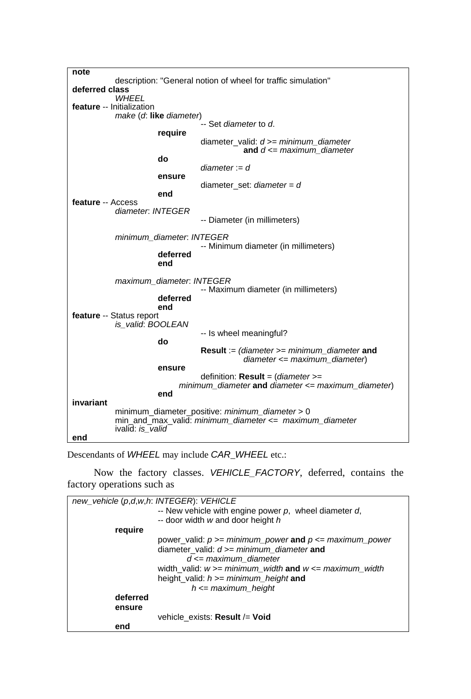

Descendants of *WHEEL* may include *CAR*\_*WHEEL* etc.:

Now the factory classes. *VEHICLE\_FACTORY*, deferred, contains the factory operations such as

|          | new_vehicle (p,d,w,h: INTEGER): VEHICLE                                                                           |
|----------|-------------------------------------------------------------------------------------------------------------------|
|          | -- New vehicle with engine power $p$ , wheel diameter $d$ ,                                                       |
|          | -- door width w and door height h                                                                                 |
| require  |                                                                                                                   |
|          | power valid: $p \geq p$ minimum power and $p \leq p$ maximum power<br>diameter_valid: $d == minimum$ diameter and |
|          | $d \leq$ maximum diameter                                                                                         |
|          | width valid: $w \ge m$ minimum width and $w \le m$ aximum width                                                   |
|          | height_valid: $h \geq m$ inimum_height and                                                                        |
|          | $h \leq m$ aximum height                                                                                          |
| deferred |                                                                                                                   |
| ensure   |                                                                                                                   |
|          | vehicle exists: Result $/=$ Void                                                                                  |
| end      |                                                                                                                   |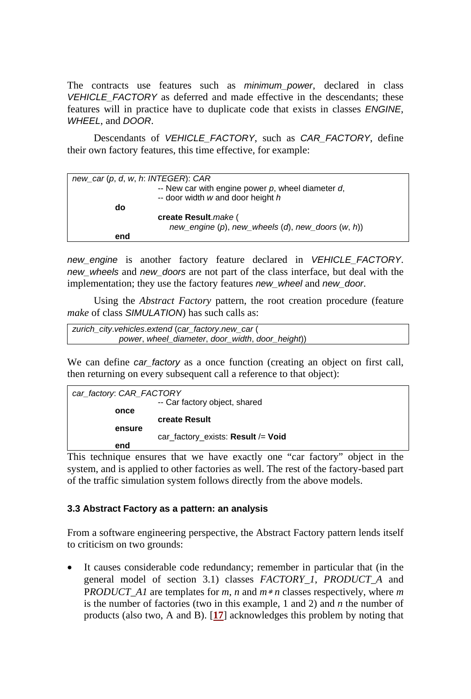The contracts use features such as *minimum\_power*, declared in class *VEHICLE FACTORY* as deferred and made effective in the descendants; these features will in practice have to duplicate code that exists in classes *ENGINE*, *WHEEL*, and *DOOR*.

Descendants of *VEHICLE\_FACTORY*, such as *CAR\_FACTORY*, define their own factory features, this time effective, for example:

| $new_{car}(p, d, w, h: INTEGR): CAR$ |                                                          |
|--------------------------------------|----------------------------------------------------------|
|                                      | -- New car with engine power $p$ , wheel diameter $d$ ,  |
|                                      | -- door width w and door height h                        |
| do                                   |                                                          |
|                                      | create Result.make (                                     |
|                                      |                                                          |
|                                      | new_engine $(p)$ , new_wheels $(d)$ , new_doors $(w, h)$ |
| end                                  |                                                          |

*new\_engine* is another factory feature declared in *VEHICLE\_FACTORY*. *new\_wheels* and *new\_doors* are not part of the class interface, but deal with the implementation; they use the factory features *new\_wheel* and *new\_door*.

Using the *Abstract Factory* pattern, the root creation procedure (feature *make* of class *SIMULATION*) has such calls as:

```
zurich_city.vehicles.extend (car_factory.new_car ( 
             power, wheel_diameter, door_width, door_height))
```
We can define *car factory* as a once function (creating an object on first call, then returning on every subsequent call a reference to that object):

| car_factory: CAR_FACTORY |                                    |
|--------------------------|------------------------------------|
|                          | -- Car factory object, shared      |
| once                     |                                    |
|                          | create Result                      |
| ensure                   |                                    |
|                          | car_factory_exists: Result /= Void |
| end                      |                                    |

This technique ensures that we have exactly one "car factory" object in the system, and is applied to other factories as well. The rest of the factory-based part of the traffic simulation system follows directly from the above models.

### **3.3 Abstract Factory as a pattern: an analysis**

From a software engineering perspective, the Abstract Factory pattern lends itself to criticism on two grounds:

• It causes considerable code redundancy; remember in particular that (in the general model of section 3.1) classes *FACTORY\_1*, *PRODUCT\_A* and P*RODUCT\_A1* are templates for *m*, *n* and *m*∗ *n* classes respectively, where *m* is the number of factories (two in this example, 1 and 2) and *n* the number of products (also two, A and B). [**[17](#page-25-0)**] acknowledges this problem by noting that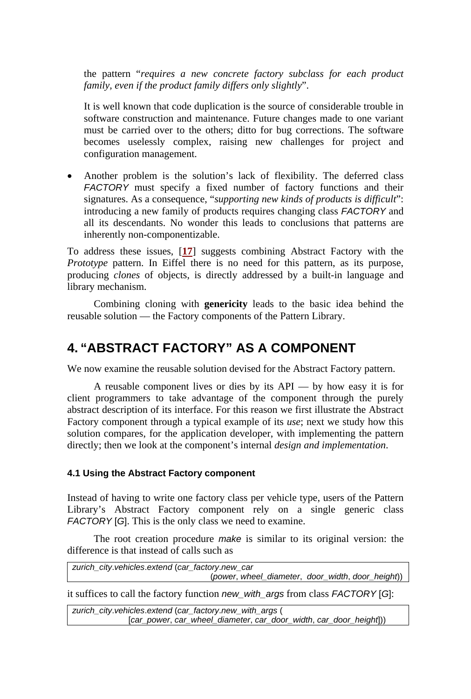the pattern "*requires a new concrete factory subclass for each product family, even if the product family differs only slightly*".

It is well known that code duplication is the source of considerable trouble in software construction and maintenance. Future changes made to one variant must be carried over to the others; ditto for bug corrections. The software becomes uselessly complex, raising new challenges for project and configuration management.

• Another problem is the solution's lack of flexibility. The deferred class *FACTORY* must specify a fixed number of factory functions and their signatures. As a consequence, "*supporting new kinds of products is difficult*": introducing a new family of products requires changing class *FACTORY* and all its descendants. No wonder this leads to conclusions that patterns are inherently non-componentizable.

To address these issues, [**[17](#page-25-0)**] suggests combining Abstract Factory with the *Prototype* pattern. In Eiffel there is no need for this pattern, as its purpose, producing *clones* of objects, is directly addressed by a built-in language and library mechanism.

Combining cloning with **genericity** leads to the basic idea behind the reusable solution — the Factory components of the Pattern Library.

## **4. "ABSTRACT FACTORY" AS A COMPONENT**

We now examine the reusable solution devised for the Abstract Factory pattern.

A reusable component lives or dies by its  $API$  — by how easy it is for client programmers to take advantage of the component through the purely abstract description of its interface. For this reason we first illustrate the Abstract Factory component through a typical example of its *use*; next we study how this solution compares, for the application developer, with implementing the pattern directly; then we look at the component's internal *design and implementation*.

#### **4.1 Using the Abstract Factory component**

Instead of having to write one factory class per vehicle type, users of the Pattern Library's Abstract Factory component rely on a single generic class *FACTORY* [*G*]. This is the only class we need to examine.

The root creation procedure *make* is similar to its original version: the difference is that instead of calls such as

*zurich\_city*.*vehicles*.*extend* (*car\_factory*.*new\_car* (*power*, *wheel\_diameter*, *door\_width*, *door\_height*))

it suffices to call the factory function *new\_with\_args* from class *FACTORY* [*G*]:

*zurich\_city*.*vehicles*.*extend* (*car\_factory*.*new\_with\_args* ( [*car\_power*, *car\_wheel\_diameter*, *car\_door\_width*, *car\_door\_height*]))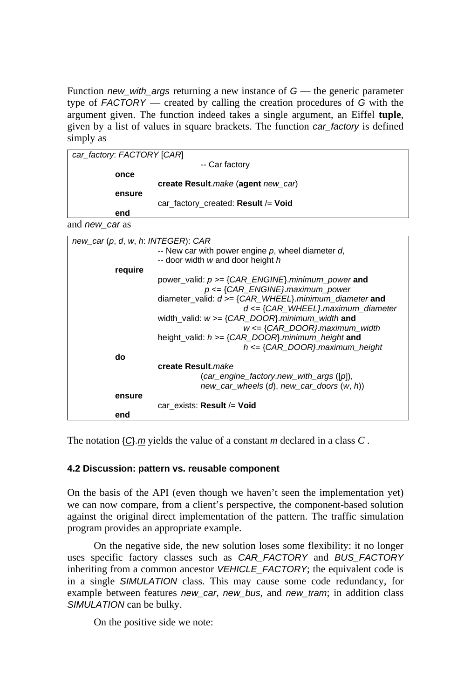Function *new\_with\_args* returning a new instance of *G* — the generic parameter type of *FACTORY* — created by calling the creation procedures of *G* with the argument given. The function indeed takes a single argument, an Eiffel **tuple**, given by a list of values in square brackets. The function *car\_factory* is defined simply as

| car_factory: FACTORY [CAR] |                                       |
|----------------------------|---------------------------------------|
|                            | -- Car factory                        |
| once                       |                                       |
|                            | create Result.make (agent new car)    |
| ensure                     |                                       |
|                            | car_factory_created: Result $/=$ Void |
| end                        |                                       |

and *new\_car* as

| new_car $(p, d, w, h: INTEGR)$ : CAR |                                                                         |
|--------------------------------------|-------------------------------------------------------------------------|
|                                      | -- New car with power engine p, wheel diameter d,                       |
|                                      | -- door width w and door height h                                       |
| require                              |                                                                         |
|                                      | power_valid: $p \geq \{CAR \text{ENGINE}\}\$ . minimum_power and        |
|                                      |                                                                         |
|                                      | $p \leq \{CAR \; ENGINE\}.$ maximum power                               |
|                                      | diameter valid: $d \geq \{CAR \textit{WHERE}\}\$ . minimum diameter and |
|                                      | $d \leq \{CAR \quad \text{WHEREL}\}$ . maximum diameter                 |
|                                      | width valid: $w = \{CAR\ DOOR\}$ . minimum width and                    |
|                                      | $w \leq \{CAR\ DOOR\}$ . maximum width                                  |
|                                      | height valid: $h = \{CAR\ DOOR\}$ . minimum height and                  |
|                                      | $h \leq \{CAR\ DOOR\}$ . maximum height                                 |
| do                                   |                                                                         |
|                                      |                                                                         |
|                                      | create Result make                                                      |
|                                      | $(car_{\text{}engine_{\text{}}\text{factor}})$ hew with args ([p]),     |
|                                      | new car wheels $(d)$ , new car doors $(w, h)$                           |
| ensure                               |                                                                         |
|                                      | car exists: Result $/=$ Void                                            |
| end                                  |                                                                         |
|                                      |                                                                         |

The notation {*C*}.*m* yields the value of a constant *m* declared in a class *C* .

#### **4.2 Discussion: pattern vs. reusable component**

On the basis of the API (even though we haven't seen the implementation yet) we can now compare, from a client's perspective, the component-based solution against the original direct implementation of the pattern. The traffic simulation program provides an appropriate example.

On the negative side, the new solution loses some flexibility: it no longer uses specific factory classes such as *CAR\_FACTORY* and *BUS\_FACTORY* inheriting from a common ancestor *VEHICLE\_FACTORY*; the equivalent code is in a single *SIMULATION* class. This may cause some code redundancy, for example between features *new\_car*, *new\_bus*, and *new\_tram*; in addition class *SIMULATION* can be bulky.

On the positive side we note: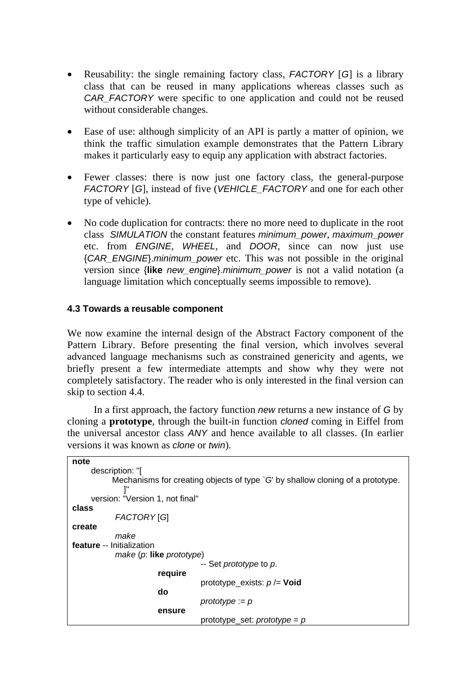- Reusability: the single remaining factory class, *FACTORY* [*G*] is a library class that can be reused in many applications whereas classes such as *CAR\_FACTORY* were specific to one application and could not be reused without considerable changes.
- Ease of use: although simplicity of an API is partly a matter of opinion, we think the traffic simulation example demonstrates that the Pattern Library makes it particularly easy to equip any application with abstract factories.
- Fewer classes: there is now just one factory class, the general-purpose *FACTORY* [*G*], instead of five (*VEHICLE\_FACTORY* and one for each other type of vehicle).
- No code duplication for contracts: there no more need to duplicate in the root class *SIMULATION* the constant features *minimum\_power*, *maximum\_power* etc. from *ENGINE*, *WHEEL*, and *DOOR*, since can now just use {*CAR\_ENGINE*}.*minimum\_power* etc. This was not possible in the original version since {**like** *new\_engine*}.*minimum\_power* is not a valid notation (a language limitation which conceptually seems impossible to remove).

### **4.3 Towards a reusable component**

We now examine the internal design of the Abstract Factory component of the Pattern Library. Before presenting the final version, which involves several advanced language mechanisms such as constrained genericity and agents, we briefly present a few intermediate attempts and show why they were not completely satisfactory. The reader who is only interested in the final version can skip to section 4.4.

In a first approach, the factory function *new* returns a new instance of *G* by cloning a **prototype**, through the built-in function *cloned* coming in Eiffel from the universal ancestor class *ANY* and hence available to all classes. (In earlier versions it was known as *clone* or *twin*).

```
note
      description: "[ 
            Mechanisms for creating objects of type `G' by shallow cloning of a prototype. 
 ]" 
 version: "Version 1, not final" 
class 
           FACTORY [G] 
create 
           make
feature -- Initialization 
           make (p: like prototype) 
                                     -- Set prototype to p. 
                         require
                                     prototype_exists: p /= Void
do de la contrata de la contrata de
                                     prototype := p
                         ensure
                                    prototype_set: prototype = p
```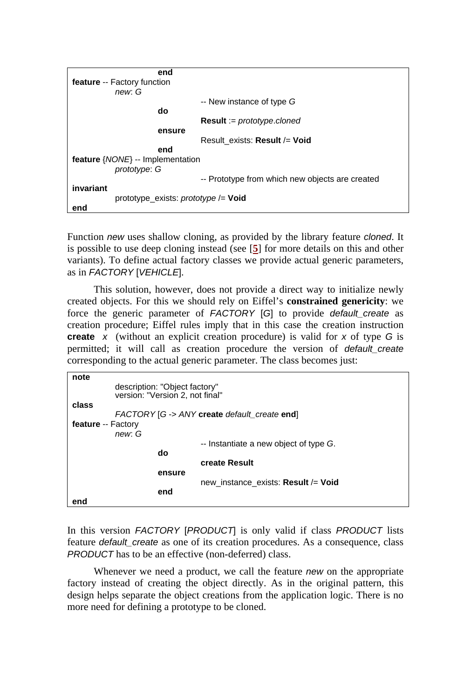

Function *new* uses shallow cloning, as provided by the library feature *cloned*. It is possible to use deep cloning instead (see [**[5](#page-25-1)**] for more details on this and other variants). To define actual factory classes we provide actual generic parameters, as in *FACTORY* [*VEHICLE*].

This solution, however, does not provide a direct way to initialize newly created objects. For this we should rely on Eiffel's **constrained genericity**: we force the generic parameter of *FACTORY* [*G*] to provide *default\_create* as creation procedure; Eiffel rules imply that in this case the creation instruction **create** *x* (without an explicit creation procedure) is valid for *x* of type *G* is permitted; it will call as creation procedure the version of *default\_create*  corresponding to the actual generic parameter. The class becomes just:

| note               |                                 |                                              |  |  |  |  |
|--------------------|---------------------------------|----------------------------------------------|--|--|--|--|
|                    | description: "Object factory"   |                                              |  |  |  |  |
|                    | version: "Version 2, not final" |                                              |  |  |  |  |
| class              |                                 |                                              |  |  |  |  |
|                    |                                 | FACTORY [G -> ANY create default create end] |  |  |  |  |
| feature -- Factory |                                 |                                              |  |  |  |  |
|                    | new: G                          |                                              |  |  |  |  |
|                    |                                 | -- Instantiate a new object of type G.       |  |  |  |  |
|                    | do                              |                                              |  |  |  |  |
|                    |                                 | create Result                                |  |  |  |  |
|                    | ensure                          |                                              |  |  |  |  |
|                    |                                 | new instance exists: Result $/=$ Void        |  |  |  |  |
|                    | end                             |                                              |  |  |  |  |
| end                |                                 |                                              |  |  |  |  |

In this version *FACTORY* [*PRODUCT*] is only valid if class *PRODUCT* lists feature *default\_create* as one of its creation procedures. As a consequence, class *PRODUCT* has to be an effective (non-deferred) class.

Whenever we need a product, we call the feature *new* on the appropriate factory instead of creating the object directly. As in the original pattern, this design helps separate the object creations from the application logic. There is no more need for defining a prototype to be cloned.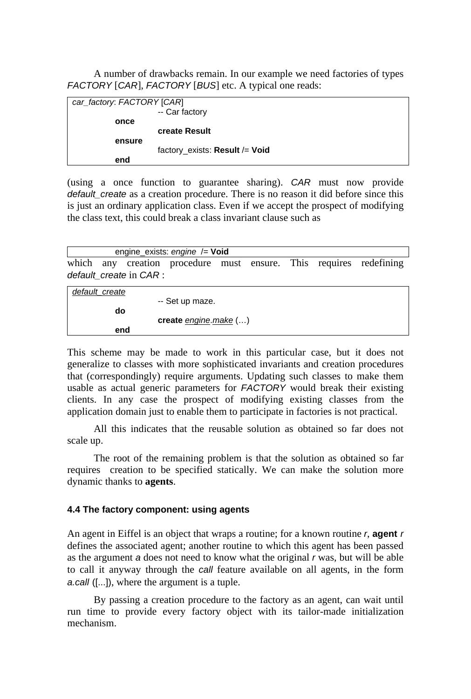A number of drawbacks remain. In our example we need factories of types *FACTORY* [*CAR*], *FACTORY* [*BUS*] etc. A typical one reads:

| car_factory: FACTORY [CAR] |                                  |  |
|----------------------------|----------------------------------|--|
|                            | -- Car factory                   |  |
| once                       |                                  |  |
|                            | create Result                    |  |
| ensure                     |                                  |  |
|                            | factory_exists: Result $/=$ Void |  |
| end                        |                                  |  |

(using a once function to guarantee sharing). *CAR* must now provide *default* create as a creation procedure. There is no reason it did before since this is just an ordinary application class. Even if we accept the prospect of modifying the class text, this could break a class invariant clause such as

 engine\_exists: *engine* /= **Void** which any creation procedure must ensure. This requires redefining *default\_create* in *CAR* :

| default create |                       |  |
|----------------|-----------------------|--|
|                | -- Set up maze.       |  |
| do             |                       |  |
|                | create engine make () |  |
| end            |                       |  |

This scheme may be made to work in this particular case, but it does not generalize to classes with more sophisticated invariants and creation procedures that (correspondingly) require arguments. Updating such classes to make them usable as actual generic parameters for *FACTORY* would break their existing clients. In any case the prospect of modifying existing classes from the application domain just to enable them to participate in factories is not practical.

All this indicates that the reusable solution as obtained so far does not scale up.

The root of the remaining problem is that the solution as obtained so far requires creation to be specified statically. We can make the solution more dynamic thanks to **agents**.

### **4.4 The factory component: using agents**

An agent in Eiffel is an object that wraps a routine; for a known routine *r*, **agent** *r*  defines the associated agent; another routine to which this agent has been passed as the argument *a* does not need to know what the original *r* was, but will be able to call it anyway through the *call* feature available on all agents, in the form *a.call* ([...]), where the argument is a tuple.

By passing a creation procedure to the factory as an agent, can wait until run time to provide every factory object with its tailor-made initialization mechanism.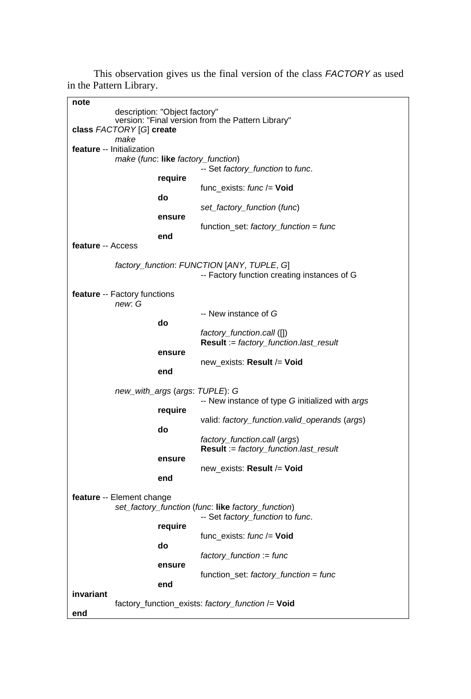This observation gives us the final version of the class *FACTORY* as used in the Pattern Library.

| note                                                                                   |                                  |                                                                               |
|----------------------------------------------------------------------------------------|----------------------------------|-------------------------------------------------------------------------------|
| description: "Object factory"<br>version: "Final version from the Pattern Library"     |                                  |                                                                               |
| class FACTORY [G] create                                                               |                                  |                                                                               |
| make                                                                                   |                                  |                                                                               |
| feature -- Initialization<br>make (func: like factory_function)                        |                                  |                                                                               |
|                                                                                        | -- Set factory_function to func. |                                                                               |
|                                                                                        | require                          |                                                                               |
| do                                                                                     |                                  | func exists: <i>func</i> /= <b>Void</b>                                       |
|                                                                                        |                                  | set_factory_function (func)                                                   |
|                                                                                        | ensure                           |                                                                               |
| end                                                                                    |                                  | function_set: $factors$ _function = func                                      |
| feature -- Access                                                                      |                                  |                                                                               |
| factory_function: FUNCTION [ANY, TUPLE, G]                                             |                                  |                                                                               |
|                                                                                        |                                  | -- Factory function creating instances of G                                   |
|                                                                                        |                                  |                                                                               |
| feature -- Factory functions<br>new: G                                                 |                                  |                                                                               |
|                                                                                        |                                  | -- New instance of G                                                          |
| do                                                                                     |                                  |                                                                               |
|                                                                                        |                                  | factory_function.call ([])<br><b>Result</b> := factory_function.last_result   |
|                                                                                        | ensure                           |                                                                               |
| end                                                                                    |                                  | new exists: Result /= Void                                                    |
|                                                                                        |                                  |                                                                               |
| new_with_args (args: TUPLE): G                                                         |                                  |                                                                               |
| require                                                                                |                                  | -- New instance of type G initialized with args                               |
|                                                                                        |                                  | valid: factory_function.valid_operands (args)                                 |
| do                                                                                     |                                  |                                                                               |
|                                                                                        |                                  | factory_function.call (args)<br><b>Result</b> := factory_function.last_result |
|                                                                                        | ensure                           |                                                                               |
| new exists: Result $/=$ Void<br>end                                                    |                                  |                                                                               |
|                                                                                        |                                  |                                                                               |
| feature -- Element change                                                              |                                  |                                                                               |
| set_factory_function (func: like factory_function)<br>-- Set factory_function to func. |                                  |                                                                               |
|                                                                                        | require                          |                                                                               |
| do                                                                                     |                                  | func_exists: func /= Void                                                     |
|                                                                                        |                                  | factory_function := func                                                      |
| ensure                                                                                 |                                  |                                                                               |
| end                                                                                    |                                  | function_set: $factory_$ function = func                                      |
| invariant                                                                              |                                  |                                                                               |
| factory_function_exists: factory_function /= Void                                      |                                  |                                                                               |
| end                                                                                    |                                  |                                                                               |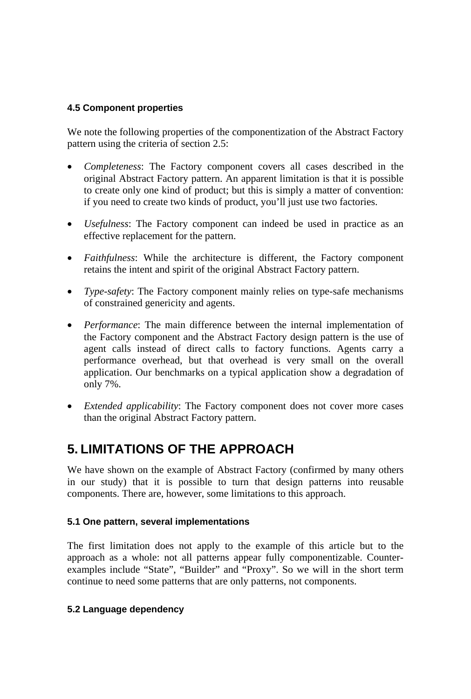### **4.5 Component properties**

We note the following properties of the componentization of the Abstract Factory pattern using the criteria of section 2.5:

- *Completeness*: The Factory component covers all cases described in the original Abstract Factory pattern. An apparent limitation is that it is possible to create only one kind of product; but this is simply a matter of convention: if you need to create two kinds of product, you'll just use two factories.
- *Usefulness*: The Factory component can indeed be used in practice as an effective replacement for the pattern.
- *Faithfulness*: While the architecture is different, the Factory component retains the intent and spirit of the original Abstract Factory pattern.
- *Type-safety*: The Factory component mainly relies on type-safe mechanisms of constrained genericity and agents.
- *Performance*: The main difference between the internal implementation of the Factory component and the Abstract Factory design pattern is the use of agent calls instead of direct calls to factory functions. Agents carry a performance overhead, but that overhead is very small on the overall application. Our benchmarks on a typical application show a degradation of only 7%.
- *Extended applicability*: The Factory component does not cover more cases than the original Abstract Factory pattern.

# **5. LIMITATIONS OF THE APPROACH**

We have shown on the example of Abstract Factory (confirmed by many others in our study) that it is possible to turn that design patterns into reusable components. There are, however, some limitations to this approach.

### **5.1 One pattern, several implementations**

The first limitation does not apply to the example of this article but to the approach as a whole: not all patterns appear fully componentizable. Counterexamples include "State", "Builder" and "Proxy". So we will in the short term continue to need some patterns that are only patterns, not components.

### **5.2 Language dependency**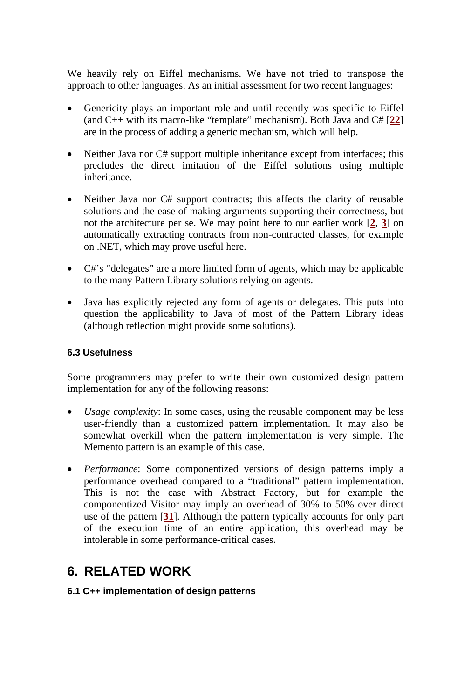We heavily rely on Eiffel mechanisms. We have not tried to transpose the approach to other languages. As an initial assessment for two recent languages:

- Genericity plays an important role and until recently was specific to Eiffel (and C++ with its macro-like "template" mechanism). Both Java and C# [**[22](#page-26-5)**] are in the process of adding a generic mechanism, which will help.
- Neither Java nor C# support multiple inheritance except from interfaces; this precludes the direct imitation of the Eiffel solutions using multiple inheritance.
- Neither Java nor C# support contracts; this affects the clarity of reusable solutions and the ease of making arguments supporting their correctness, but not the architecture per se. We may point here to our earlier work [**[2](#page-24-0)**, **[3](#page-24-1)**] on automatically extracting contracts from non-contracted classes, for example on .NET, which may prove useful here.
- C#'s "delegates" are a more limited form of agents, which may be applicable to the many Pattern Library solutions relying on agents.
- Java has explicitly rejected any form of agents or delegates. This puts into question the applicability to Java of most of the Pattern Library ideas (although reflection might provide some solutions).

### **6.3 Usefulness**

Some programmers may prefer to write their own customized design pattern implementation for any of the following reasons:

- *Usage complexity*: In some cases, using the reusable component may be less user-friendly than a customized pattern implementation. It may also be somewhat overkill when the pattern implementation is very simple. The Memento pattern is an example of this case.
- *Performance*: Some componentized versions of design patterns imply a performance overhead compared to a "traditional" pattern implementation. This is not the case with Abstract Factory, but for example the componentized Visitor may imply an overhead of 30% to 50% over direct use of the pattern [**[31](#page-27-1)**]. Although the pattern typically accounts for only part of the execution time of an entire application, this overhead may be intolerable in some performance-critical cases.

# **6. RELATED WORK**

**6.1 C++ implementation of design patterns**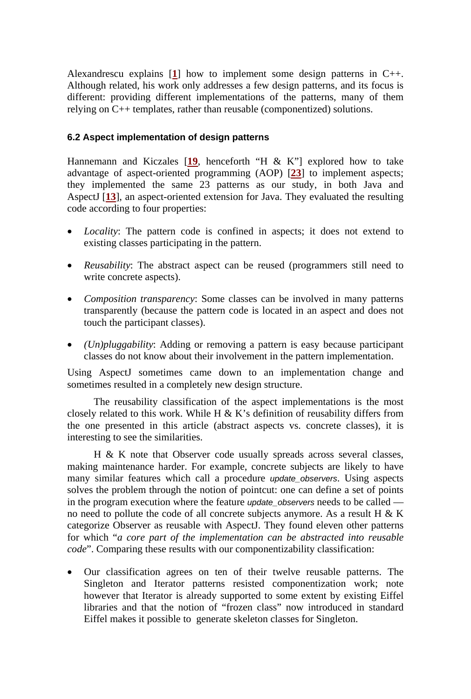Alexandrescu explains [**[1](#page-24-2)**] how to implement some design patterns in C++. Although related, his work only addresses a few design patterns, and its focus is different: providing different implementations of the patterns, many of them relying on C++ templates, rather than reusable (componentized) solutions.

#### **6.2 Aspect implementation of design patterns**

Hannemann and Kiczales [**[19](#page-26-6)**, henceforth "H & K"] explored how to take advantage of aspect-oriented programming (AOP) [**[23](#page-26-7)**] to implement aspects; they implemented the same 23 patterns as our study, in both Java and AspectJ [**[13](#page-25-6)**], an aspect-oriented extension for Java. They evaluated the resulting code according to four properties:

- *Locality*: The pattern code is confined in aspects; it does not extend to existing classes participating in the pattern.
- *Reusability*: The abstract aspect can be reused (programmers still need to write concrete aspects).
- *Composition transparency*: Some classes can be involved in many patterns transparently (because the pattern code is located in an aspect and does not touch the participant classes).
- *(Un)pluggability*: Adding or removing a pattern is easy because participant classes do not know about their involvement in the pattern implementation.

Using AspectJ sometimes came down to an implementation change and sometimes resulted in a completely new design structure.

The reusability classification of the aspect implementations is the most closely related to this work. While H  $\&$  K's definition of reusability differs from the one presented in this article (abstract aspects vs. concrete classes), it is interesting to see the similarities.

H & K note that Observer code usually spreads across several classes, making maintenance harder. For example, concrete subjects are likely to have many similar features which call a procedure *update\_observers*. Using aspects solves the problem through the notion of pointcut: one can define a set of points in the program execution where the feature *update* observers needs to be called no need to pollute the code of all concrete subjects anymore. As a result  $H \& K$ categorize Observer as reusable with AspectJ. They found eleven other patterns for which "*a core part of the implementation can be abstracted into reusable code*". Comparing these results with our componentizability classification:

• Our classification agrees on ten of their twelve reusable patterns. The Singleton and Iterator patterns resisted componentization work; note however that Iterator is already supported to some extent by existing Eiffel libraries and that the notion of "frozen class" now introduced in standard Eiffel makes it possible to generate skeleton classes for Singleton.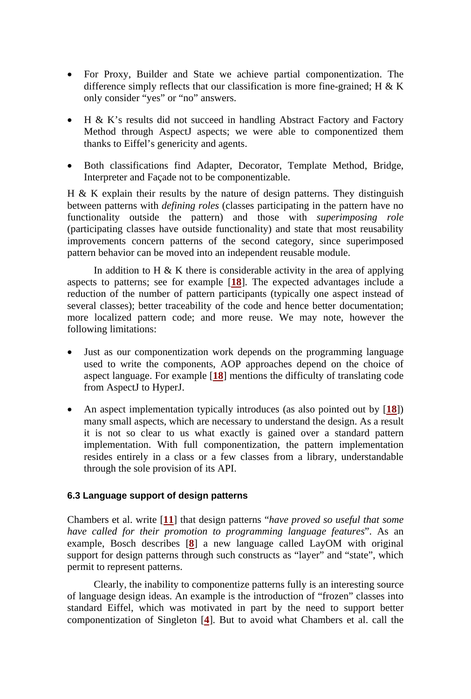- For Proxy, Builder and State we achieve partial componentization. The difference simply reflects that our classification is more fine-grained; H & K only consider "yes" or "no" answers.
- H & K's results did not succeed in handling Abstract Factory and Factory Method through AspectJ aspects; we were able to componentized them thanks to Eiffel's genericity and agents.
- Both classifications find Adapter, Decorator, Template Method, Bridge, Interpreter and Façade not to be componentizable.

H & K explain their results by the nature of design patterns. They distinguish between patterns with *defining roles* (classes participating in the pattern have no functionality outside the pattern) and those with *superimposing role* (participating classes have outside functionality) and state that most reusability improvements concern patterns of the second category, since superimposed pattern behavior can be moved into an independent reusable module.

In addition to H  $\&$  K there is considerable activity in the area of applying aspects to patterns; see for example [**[18](#page-26-8)**]. The expected advantages include a reduction of the number of pattern participants (typically one aspect instead of several classes); better traceability of the code and hence better documentation; more localized pattern code; and more reuse. We may note, however the following limitations:

- Just as our componentization work depends on the programming language used to write the components, AOP approaches depend on the choice of aspect language. For example [**[18](#page-26-8)**] mentions the difficulty of translating code from AspectJ to HyperJ.
- An aspect implementation typically introduces (as also pointed out by [**[18](#page-26-8)**]) many small aspects, which are necessary to understand the design. As a result it is not so clear to us what exactly is gained over a standard pattern implementation. With full componentization, the pattern implementation resides entirely in a class or a few classes from a library, understandable through the sole provision of its API.

#### **6.3 Language support of design patterns**

Chambers et al. write [**[11](#page-25-7)**] that design patterns "*have proved so useful that some have called for their promotion to programming language features*". As an example, Bosch describes [**[8](#page-25-8)**] a new language called LayOM with original support for design patterns through such constructs as "layer" and "state", which permit to represent patterns.

Clearly, the inability to componentize patterns fully is an interesting source of language design ideas. An example is the introduction of "frozen" classes into standard Eiffel, which was motivated in part by the need to support better componentization of Singleton [**[4](#page-25-9)**]. But to avoid what Chambers et al. call the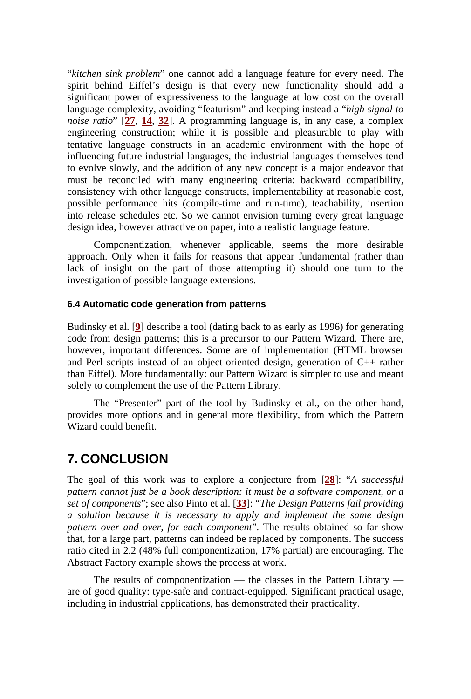"*kitchen sink problem*" one cannot add a language feature for every need. The spirit behind Eiffel's design is that every new functionality should add a significant power of expressiveness to the language at low cost on the overall language complexity, avoiding "featurism" and keeping instead a "*high signal to noise ratio*" [**[27](#page-26-1)**, **[14](#page-25-4)**, **[32](#page-27-2)**]. A programming language is, in any case, a complex engineering construction; while it is possible and pleasurable to play with tentative language constructs in an academic environment with the hope of influencing future industrial languages, the industrial languages themselves tend to evolve slowly, and the addition of any new concept is a major endeavor that must be reconciled with many engineering criteria: backward compatibility, consistency with other language constructs, implementability at reasonable cost, possible performance hits (compile-time and run-time), teachability, insertion into release schedules etc. So we cannot envision turning every great language design idea, however attractive on paper, into a realistic language feature.

Componentization, whenever applicable, seems the more desirable approach. Only when it fails for reasons that appear fundamental (rather than lack of insight on the part of those attempting it) should one turn to the investigation of possible language extensions.

#### **6.4 Automatic code generation from patterns**

Budinsky et al. [**[9](#page-25-10)**] describe a tool (dating back to as early as 1996) for generating code from design patterns; this is a precursor to our Pattern Wizard. There are, however, important differences. Some are of implementation (HTML browser and Perl scripts instead of an object-oriented design, generation of C++ rather than Eiffel). More fundamentally: our Pattern Wizard is simpler to use and meant solely to complement the use of the Pattern Library.

The "Presenter" part of the tool by Budinsky et al., on the other hand, provides more options and in general more flexibility, from which the Pattern Wizard could benefit.

## **7. CONCLUSION**

The goal of this work was to explore a conjecture from [**[28](#page-26-9)**]: "*A successful pattern cannot just be a book description: it must be a software component, or a set of components*"; see also Pinto et al. [**[33](#page-27-4)**]: "*The Design Patterns fail providing a solution because it is necessary to apply and implement the same design pattern over and over, for each component*". The results obtained so far show that, for a large part, patterns can indeed be replaced by components. The success ratio cited in 2.2 (48% full componentization, 17% partial) are encouraging. The Abstract Factory example shows the process at work.

The results of componentization — the classes in the Pattern Library are of good quality: type-safe and contract-equipped. Significant practical usage, including in industrial applications, has demonstrated their practicality.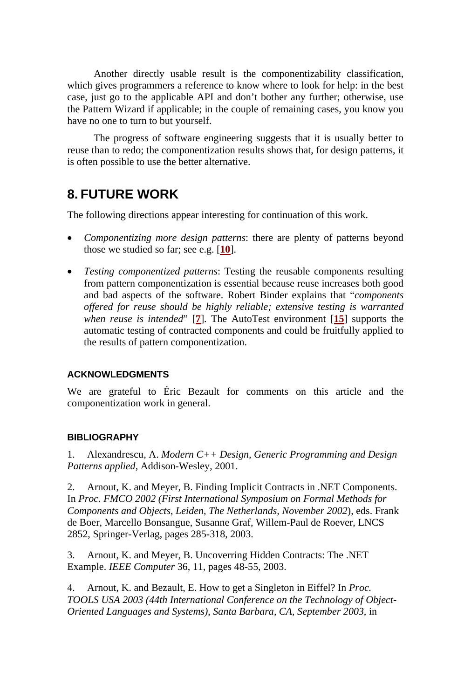Another directly usable result is the componentizability classification, which gives programmers a reference to know where to look for help: in the best case, just go to the applicable API and don't bother any further; otherwise, use the Pattern Wizard if applicable; in the couple of remaining cases, you know you have no one to turn to but yourself.

The progress of software engineering suggests that it is usually better to reuse than to redo; the componentization results shows that, for design patterns, it is often possible to use the better alternative.

# **8. FUTURE WORK**

The following directions appear interesting for continuation of this work.

- *Componentizing more design patterns*: there are plenty of patterns beyond those we studied so far; see e.g. [**[10](#page-25-11)**].
- *Testing componentized patterns*: Testing the reusable components resulting from pattern componentization is essential because reuse increases both good and bad aspects of the software. Robert Binder explains that "*components offered for reuse should be highly reliable; extensive testing is warranted when reuse is intended*" [**[7](#page-25-12)**]. The AutoTest environment [**[15](#page-25-13)**] supports the automatic testing of contracted components and could be fruitfully applied to the results of pattern componentization.

### **ACKNOWLEDGMENTS**

We are grateful to Éric Bezault for comments on this article and the componentization work in general.

### **BIBLIOGRAPHY**

<span id="page-24-2"></span>1. Alexandrescu, A. *Modern C++ Design, Generic Programming and Design Patterns applied*, Addison-Wesley, 2001.

<span id="page-24-0"></span>2. Arnout, K. and Meyer, B. Finding Implicit Contracts in .NET Components. In *Proc. FMCO 2002 (First International Symposium on Formal Methods for Components and Objects*, *Leiden, The Netherlands, November 2002*), eds. Frank de Boer, Marcello Bonsangue, Susanne Graf, Willem-Paul de Roever, LNCS 2852, Springer-Verlag, pages 285-318, 2003.

<span id="page-24-1"></span>3. Arnout, K. and Meyer, B. Uncoverring Hidden Contracts: The .NET Example. *IEEE Computer* 36, 11, pages 48-55, 2003.

4. Arnout, K. and Bezault, E. How to get a Singleton in Eiffel? In *Proc. TOOLS USA 2003 (44th International Conference on the Technology of Object-Oriented Languages and Systems)*, *Santa Barbara, CA, September 2003*, in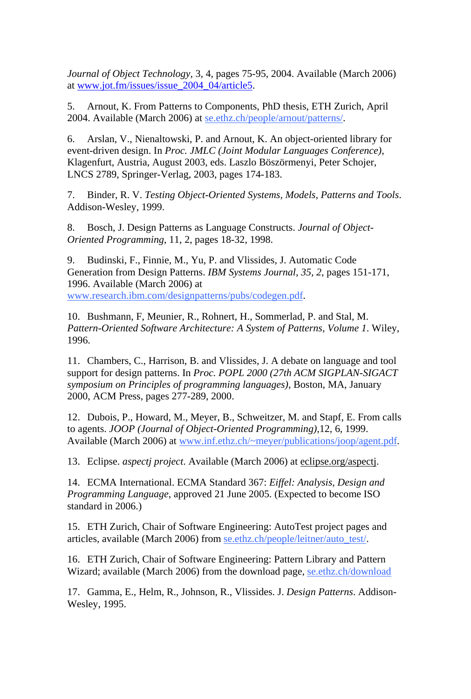*Journal of Object Technology,* 3, 4, pages 75-95, 2004. Available (March 2006) at [www.jot.fm/issues/issue\\_2004\\_04/article5](http://www.jot.fm/issues/issue_2004_04/article5).

<span id="page-25-1"></span>5. Arnout, K. From Patterns to Components, PhD thesis, ETH Zurich, April 2004. Available (March 2006) at [se.ethz.ch/people/arnout/patterns/](http://se.ethz.ch/people/arnout/patterns/).

<span id="page-25-3"></span>6. Arslan, V., Nienaltowski, P. and Arnout, K. An object-oriented library for event-driven design. In *Proc. JMLC (Joint Modular Languages Conference)*, Klagenfurt, Austria, August 2003, eds. Laszlo Böszörmenyi, Peter Schojer, LNCS 2789, Springer-Verlag, 2003, pages 174-183.

<span id="page-25-12"></span>7. Binder, R. V. *Testing Object-Oriented Systems, Models, Patterns and Tools*. Addison-Wesley, 1999.

<span id="page-25-8"></span>8. Bosch, J. Design Patterns as Language Constructs. *Journal of Object-Oriented Programming*, 11, 2, pages 18-32, 1998.

<span id="page-25-10"></span>9. Budinski, F., Finnie, M., Yu, P. and Vlissides, J. Automatic Code Generation from Design Patterns. *IBM Systems Journal, 35, 2*, pages 151-171, 1996. Available (March 2006) at <www.research.ibm.com/designpatterns/pubs/codegen.pdf>.

<span id="page-25-11"></span>10. Bushmann, F, Meunier, R., Rohnert, H., Sommerlad, P. and Stal, M. *Pattern-Oriented Software Architecture: A System of Patterns, Volume 1*. Wiley, 1996.

<span id="page-25-7"></span>11. Chambers, C., Harrison, B. and Vlissides, J. A debate on language and tool support for design patterns. In *Proc. POPL 2000 (27th ACM SIGPLAN-SIGACT symposium on Principles of programming languages)*, Boston, MA, January 2000, ACM Press, pages 277-289, 2000.

<span id="page-25-5"></span>12. Dubois, P., Howard, M., Meyer, B., Schweitzer, M. and Stapf, E. From calls to agents. *JOOP (Journal of Object-Oriented Programming)*,12, 6, 1999. Available (March 2006) at [www.inf.ethz.ch/~meyer/publications/joop/agent.pdf.](www.inf.ethz.ch/%7Emeyer/publications/joop/agent.pdf)

<span id="page-25-6"></span>13. Eclipse. *aspectj project*. Available (March 2006) at eclipse.org/aspectj.

<span id="page-25-4"></span>14. ECMA International. ECMA Standard 367: *Eiffel: Analysis, Design and Programming Language*, approved 21 June 2005. (Expected to become ISO standard in 2006.)

<span id="page-25-13"></span>15. ETH Zurich, Chair of Software Engineering: AutoTest project pages and articles, available (March 2006) from se.ethz.ch/people/leitner/auto\_test/.

<span id="page-25-2"></span>16. ETH Zurich, Chair of Software Engineering: Pattern Library and Pattern Wizard; available (March 2006) from the download page, se.ethz.ch/download

<span id="page-25-9"></span><span id="page-25-0"></span>17. Gamma, E., Helm, R., Johnson, R., Vlissides. J. *Design Patterns*. Addison-Wesley, 1995.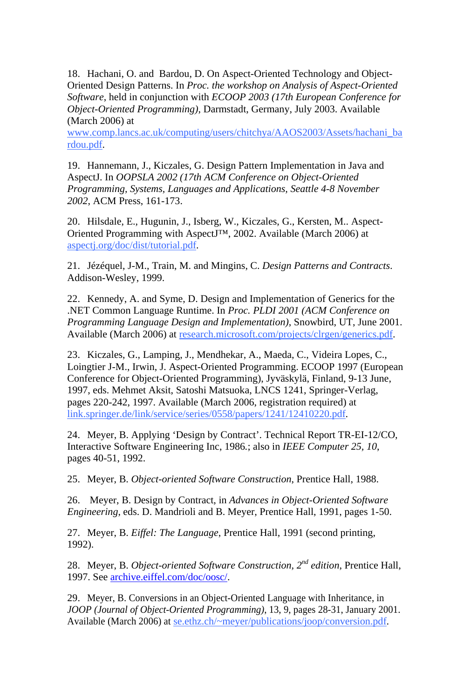<span id="page-26-8"></span>18. Hachani, O. and Bardou, D. On Aspect-Oriented Technology and Object-Oriented Design Patterns. In *Proc. the workshop on Analysis of Aspect-Oriented Software*, held in conjunction with *ECOOP 2003 (17th European Conference for Object-Oriented Programming)*, Darmstadt, Germany, July 2003. Available (March 2006) at

[www.comp.lancs.ac.uk/computing/users/chitchya/AAOS2003/Assets/hachani\\_ba](www.comp.lancs.ac.uk/computing/users/chitchya/AAOS2003/Assets/hachani_bardou.pdf) [rdou.pdf.](www.comp.lancs.ac.uk/computing/users/chitchya/AAOS2003/Assets/hachani_bardou.pdf)

<span id="page-26-6"></span>19. Hannemann, J., Kiczales, G. Design Pattern Implementation in Java and AspectJ. In *OOPSLA 2002 (17th ACM Conference on Object-Oriented Programming, Systems, Languages and Applications, Seattle 4-8 November 2002*, ACM Press, 161-173.

20. Hilsdale, E., Hugunin, J., Isberg, W., Kiczales, G., Kersten, M.. Aspect-Oriented Programming with AspectJ™, 2002. Available (March 2006) at [aspectj.org/doc/dist/tutorial.pdf](http://aspectj.org/doc/dist/tutorial.pdf).

<span id="page-26-0"></span>21. Jézéquel, J-M., Train, M. and Mingins, C. *Design Patterns and Contracts*. Addison-Wesley, 1999.

<span id="page-26-5"></span>22. Kennedy, A. and Syme, D. Design and Implementation of Generics for the .NET Common Language Runtime. In *Proc. PLDI 2001 (ACM Conference on Programming Language Design and Implementation)*, Snowbird, UT, June 2001. Available (March 2006) at research.microsoft.com/projects/clrgen/generics.pdf.

<span id="page-26-7"></span>23. Kiczales, G., Lamping, J., Mendhekar, A., Maeda, C., Videira Lopes, C., Loingtier J-M., Irwin, J. Aspect-Oriented Programming. ECOOP 1997 (European Conference for Object-Oriented Programming), Jyväskylä, Finland, 9-13 June, 1997, eds. Mehmet Aksit, Satoshi Matsuoka, LNCS 1241, Springer-Verlag, pages 220-242, 1997. Available (March 2006, registration required) at [link.springer.de/link/service/series/0558/papers/1241/12410220.pdf.](http://link.springer.de/link/service/series/0558/papers/1241/12410220.pdf)

<span id="page-26-2"></span>24. Meyer, B. Applying 'Design by Contract'. Technical Report TR-EI-12/CO, Interactive Software Engineering Inc, 1986*.*; also in *IEEE Computer 25, 10*, pages 40-51, 1992.

<span id="page-26-3"></span>25. Meyer, B. *Object-oriented Software Construction*, Prentice Hall, 1988.

<span id="page-26-4"></span>26. Meyer, B. Design by Contract, in *Advances in Object-Oriented Software Engineering*, eds. D. Mandrioli and B. Meyer, Prentice Hall, 1991, pages 1-50.

<span id="page-26-1"></span>27. Meyer, B. *Eiffel: The Language*, Prentice Hall, 1991 (second printing, 1992).

<span id="page-26-9"></span>28. Meyer, B. *Object-oriented Software Construction, 2nd edition*, Prentice Hall, 1997. See [archive.eiffel.com/doc/oosc/](http://archive.eiffel.com/doc/oosc/).

29. Meyer, B. Conversions in an Object-Oriented Language with Inheritance, in *JOOP (Journal of Object-Oriented Programming)*, 13, 9, pages 28-31, January 2001. Available (March 2006) at [se.ethz.ch/~meyer/publications/joop/conversion.pdf.](http://se.ethz.ch/%7Emeyer/publications/joop/conversion.pdf)